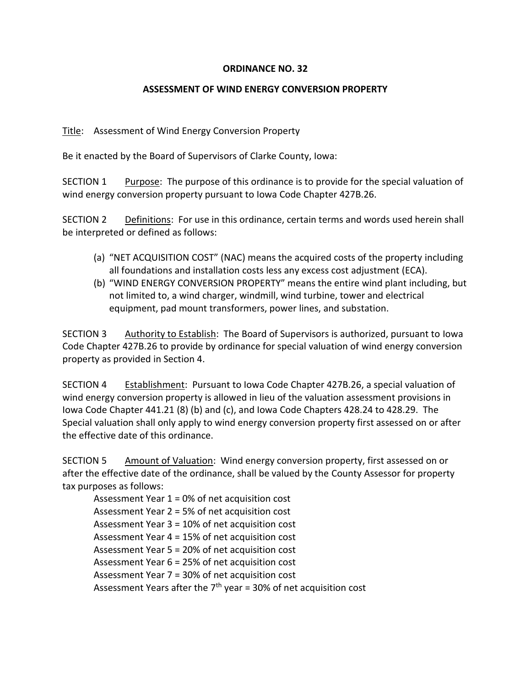## **ORDINANCE NO. 32**

## **ASSESSMENT OF WIND ENERGY CONVERSION PROPERTY**

Title: Assessment of Wind Energy Conversion Property

Be it enacted by the Board of Supervisors of Clarke County, Iowa:

SECTION 1 Purpose: The purpose of this ordinance is to provide for the special valuation of wind energy conversion property pursuant to Iowa Code Chapter 427B.26.

SECTION 2 Definitions: For use in this ordinance, certain terms and words used herein shall be interpreted or defined as follows:

- (a) "NET ACQUISITION COST" (NAC) means the acquired costs of the property including all foundations and installation costs less any excess cost adjustment (ECA).
- (b) "WIND ENERGY CONVERSION PROPERTY" means the entire wind plant including, but not limited to, a wind charger, windmill, wind turbine, tower and electrical equipment, pad mount transformers, power lines, and substation.

SECTION 3 Authority to Establish: The Board of Supervisors is authorized, pursuant to Iowa Code Chapter 427B.26 to provide by ordinance for special valuation of wind energy conversion property as provided in Section 4.

SECTION 4 Establishment: Pursuant to Iowa Code Chapter 427B.26, a special valuation of wind energy conversion property is allowed in lieu of the valuation assessment provisions in Iowa Code Chapter 441.21 (8) (b) and (c), and Iowa Code Chapters 428.24 to 428.29. The Special valuation shall only apply to wind energy conversion property first assessed on or after the effective date of this ordinance.

SECTION 5 Amount of Valuation: Wind energy conversion property, first assessed on or after the effective date of the ordinance, shall be valued by the County Assessor for property tax purposes as follows:

Assessment Year 1 = 0% of net acquisition cost Assessment Year 2 = 5% of net acquisition cost Assessment Year 3 = 10% of net acquisition cost Assessment Year 4 = 15% of net acquisition cost Assessment Year 5 = 20% of net acquisition cost Assessment Year 6 = 25% of net acquisition cost Assessment Year 7 = 30% of net acquisition cost Assessment Years after the  $7<sup>th</sup>$  year = 30% of net acquisition cost